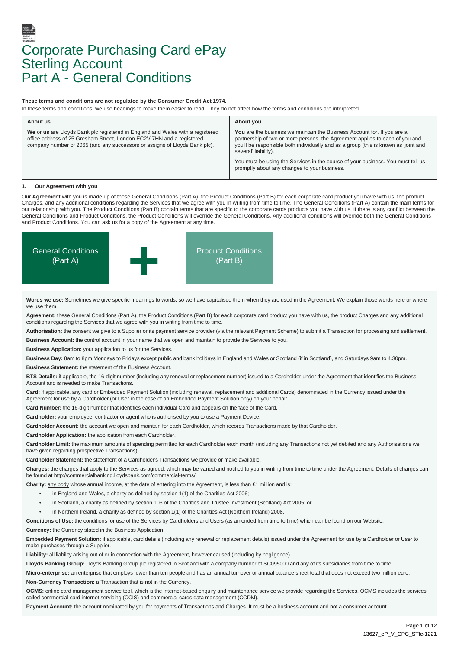# Corporate Purchasing Card ePay **Sterling Account** Part A - General Conditions

# **These terms and conditions are not regulated by the Consumer Credit Act 1974.**

In these terms and conditions, we use headings to make them easier to read. They do not affect how the terms and conditions are interpreted.

| About us                                                                                                                                                                                                                              | About you                                                                                                                                                                                                                                                              |
|---------------------------------------------------------------------------------------------------------------------------------------------------------------------------------------------------------------------------------------|------------------------------------------------------------------------------------------------------------------------------------------------------------------------------------------------------------------------------------------------------------------------|
| We or us are Lloyds Bank plc registered in England and Wales with a registered<br>office address of 25 Gresham Street, London EC2V 7HN and a registered<br>company number of 2065 (and any successors or assigns of Lloyds Bank plc). | You are the business we maintain the Business Account for. If you are a<br>partnership of two or more persons, the Agreement applies to each of you and<br>you'll be responsible both individually and as a group (this is known as 'joint and<br>several' liability). |
|                                                                                                                                                                                                                                       | You must be using the Services in the course of your business. You must tell us<br>promptly about any changes to your business.                                                                                                                                        |

# *<u>Our Agreement with you</u>*

Our **Agreement** with you is made up of these General Conditions (Part A), the Product Conditions (Part B) for each corporate card product you have with us, the product Charges, and any additional conditions regarding the Services that we agree with you in writing from time to time. The General Conditions (Part A) contain the main terms for our relationship with you. The Product Conditions (Part B) contain terms that are specific to the corporate cards products you have with us. If there is any conflict between the General Conditions and Product Conditions, the Product Conditions will override the General Conditions. Any additional conditions will override both the General Conditions and Product Conditions. You can ask us for a copy of the Agreement at any time.



**Words we use:** Sometimes we give specific meanings to words, so we have capitalised them when they are used in the Agreement. We explain those words here or where we use them.

**Agreement:** these General Conditions (Part A), the Product Conditions (Part B) for each corporate card product you have with us, the product Charges and any additional conditions regarding the Services that we agree with you in writing from time to time.

**Authorisation:** the consent we give to a Supplier or its payment service provider (via the relevant Payment Scheme) to submit a Transaction for processing and settlement.

**Business Account:** the control account in your name that we open and maintain to provide the Services to you.

**Business Application:** your application to us for the Services.

**Business Day:** 8am to 8pm Mondays to Fridays except public and bank holidays in England and Wales or Scotland (if in Scotland), and Saturdays 9am to 4.30pm. **Business Statement:** the statement of the Business Account.

**BTS Details:** if applicable, the 16-digit number (including any renewal or replacement number) issued to a Cardholder under the Agreement that identifies the Business Account and is needed to make Transactions.

**Card:** if applicable, any card or Embedded Payment Solution (including renewal, replacement and additional Cards) denominated in the Currency issued under the Agreement for use by a Cardholder (or User in the case of an Embedded Payment Solution only) on your behalf.

**Card Number:** the 16-digit number that identifies each individual Card and appears on the face of the Card.

**Cardholder:** your employee, contractor or agent who is authorised by you to use a Payment Device.

**Cardholder Account:** the account we open and maintain for each Cardholder, which records Transactions made by that Cardholder.

**Cardholder Application:** the application from each Cardholder.

Cardholder Limit: the maximum amounts of spending permitted for each Cardholder each month (including any Transactions not yet debited and any Authorisations we have given regarding prospective Transactions).

**Cardholder Statement:** the statement of a Cardholder's Transactions we provide or make available.

**Charges:** the charges that apply to the Services as agreed, which may be varied and notified to you in writing from time to time under the Agreement. Details of charges can be found at http://commercialbanking.lloydsbank.com/commercial-terms/

Charity: any body whose annual income, at the date of entering into the Agreement, is less than £1 million and is:

- in England and Wales, a charity as defined by section 1(1) of the Charities Act 2006;
- in Scotland, a charity as defined by section 106 of the Charities and Trustee Investment (Scotland) Act 2005; or
- in Northern Ireland, a charity as defined by section 1(1) of the Charities Act (Northern Ireland) 2008.

**Conditions of Use:** the conditions for use of the Services by Cardholders and Users (as amended from time to time) which can be found on our Website. **Currency:** the Currency stated in the Business Application.

**Embedded Payment Solution:** if applicable, card details (including any renewal or replacement details) issued under the Agreement for use by a Cardholder or User to make purchases through a Supplier.

**Liability:** all liability arising out of or in connection with the Agreement, however caused (including by negligence).

Lloyds Banking Group: Lloyds Banking Group plc registered in Scotland with a company number of SC095000 and any of its subsidiaries from time to time.

Micro-enterprise: an enterprise that employs fewer than ten people and has an annual turnover or annual balance sheet total that does not exceed two million euro. **Non-Currency Transaction:** a Transaction that is not in the Currency.

**OCMS:** online card management service tool, which is the internet-based enquiry and maintenance service we provide regarding the Services. OCMS includes the services called commercial card internet servicing (CCIS) and commercial cards data management (CCDM).

Payment Account: the account nominated by you for payments of Transactions and Charges. It must be a business account and not a consumer account.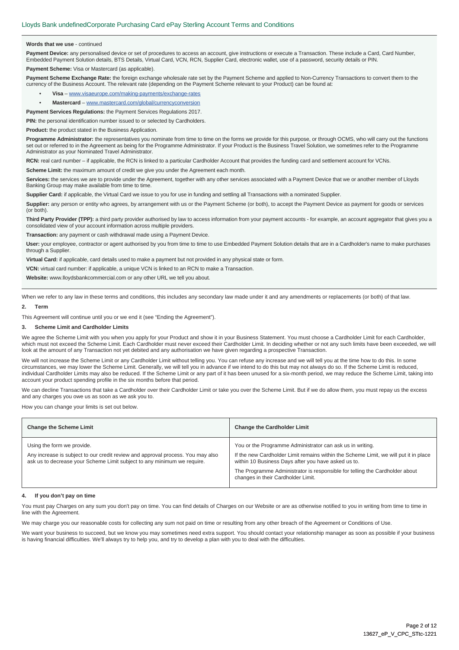# **Words that we use** - continued

Payment Device: any personalised device or set of procedures to access an account, give instructions or execute a Transaction. These include a Card, Card Number, Embedded Payment Solution details, BTS Details, Virtual Card, VCN, RCN, Supplier Card, electronic wallet, use of a password, security details or PIN.

**Payment Scheme:** Visa or Mastercard (as applicable).

Payment Scheme Exchange Rate: the foreign exchange wholesale rate set by the Payment Scheme and applied to Non-Currency Transactions to convert them to the currency of the Business Account. The relevant rate (depending on the Payment Scheme relevant to your Product) can be found at:

- **Visa** www.visaeurope.com/making-payments/exchange-rates
- **Mastercard** www.mastercard.com/global/currencyconversion

**Payment Services Regulations:** the Payment Services Regulations 2017.

**PIN:** the personal identification number issued to or selected by Cardholders.

**Product:** the product stated in the Business Application.

**Programme Administrator:** the representatives you nominate from time to time on the forms we provide for this purpose, or through OCMS, who will carry out the functions set out or referred to in the Agreement as being for the Programme Administrator. If your Product is the Business Travel Solution, we sometimes refer to the Programme Administrator as your Nominated Travel Administrator.

**RCN:** real card number – if applicable, the RCN is linked to a particular Cardholder Account that provides the funding card and settlement account for VCNs.

**Scheme Limit:** the maximum amount of credit we give you under the Agreement each month.

**Services:** the services we are to provide under the Agreement, together with any other services associated with a Payment Device that we or another member of Lloyds Banking Group may make available from time to time.

**Supplier Card:** if applicable, the Virtual Card we issue to you for use in funding and settling all Transactions with a nominated Supplier.

Supplier: any person or entity who agrees, by arrangement with us or the Payment Scheme (or both), to accept the Payment Device as payment for goods or services (or both).

Third Party Provider (TPP): a third party provider authorised by law to access information from your payment accounts - for example, an account aggregator that gives you a consolidated view of your account information across multiple providers.

**Transaction:** any payment or cash withdrawal made using a Payment Device.

**User:** your employee, contractor or agent authorised by you from time to time to use Embedded Payment Solution details that are in a Cardholder's name to make purchases through a Supplier.

**Virtual Card:** if applicable, card details used to make a payment but not provided in any physical state or form.

**VCN:** virtual card number: if applicable, a unique VCN is linked to an RCN to make a Transaction.

**Website:** www.lloydsbankcommercial.com or any other URL we tell you about.

When we refer to any law in these terms and conditions, this includes any secondary law made under it and any amendments or replacements (or both) of that law.

# **2. Term**

This Agreement will continue until you or we end it (see "Ending the Agreement").

# **3. Scheme Limit and Cardholder Limits**

We agree the Scheme Limit with you when you apply for your Product and show it in your Business Statement. You must choose a Cardholder Limit for each Cardholder, which must not exceed the Scheme Limit. Each Cardholder must never exceed their Cardholder Limit. In deciding whether or not any such limits have been exceeded, we will look at the amount of any Transaction not yet debited and any authorisation we have given regarding a prospective Transaction.

We will not increase the Scheme Limit or any Cardholder Limit without telling you. You can refuse any increase and we will tell you at the time how to do this. In some circumstances, we may lower the Scheme Limit. Generally, we will tell you in advance if we intend to do this but may not always do so. If the Scheme Limit is reduced, individual Cardholder Limits may also be reduced. If the Scheme Limit or any part of it has been unused for a six-month period, we may reduce the Scheme Limit, taking into account your product spending profile in the six months before that period.

We can decline Transactions that take a Cardholder over their Cardholder Limit or take you over the Scheme Limit. But if we do allow them, you must repay us the excess and any charges you owe us as soon as we ask you to.

How you can change your limits is set out below.

| <b>Change the Scheme Limit</b>                                                                                                                                                           | <b>Change the Cardholder Limit</b>                                                                                                                                                                                                                                                                                            |
|------------------------------------------------------------------------------------------------------------------------------------------------------------------------------------------|-------------------------------------------------------------------------------------------------------------------------------------------------------------------------------------------------------------------------------------------------------------------------------------------------------------------------------|
| Using the form we provide.<br>Any increase is subject to our credit review and approval process. You may also<br>ask us to decrease your Scheme Limit subject to any minimum we require. | You or the Programme Administrator can ask us in writing.<br>If the new Cardholder Limit remains within the Scheme Limit, we will put it in place<br>within 10 Business Days after you have asked us to.<br>The Programme Administrator is responsible for telling the Cardholder about<br>changes in their Cardholder Limit. |

#### **4. If you don't pay on time**

You must pay Charges on any sum you don't pay on time. You can find details of Charges on our Website or are as otherwise notified to you in writing from time to time in line with the Agreement.

We may charge you our reasonable costs for collecting any sum not paid on time or resulting from any other breach of the Agreement or Conditions of Use.

We want your business to succeed, but we know you may sometimes need extra support. You should contact your relationship manager as soon as possible if your business is having financial difficulties. We'll always try to help you, and try to develop a plan with you to deal with the difficulties.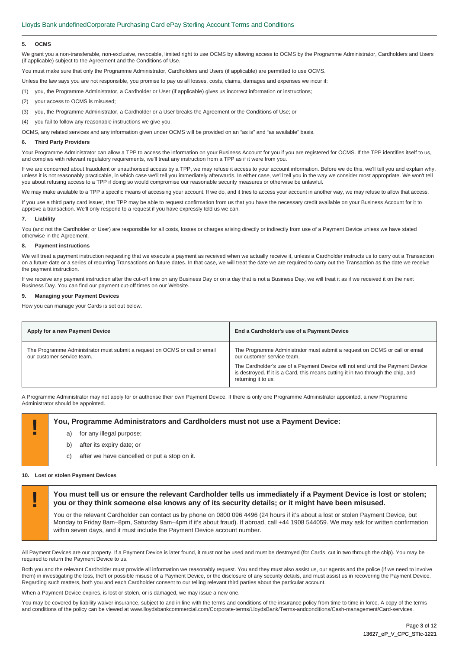#### **5. OCMS**

We grant you a non-transferable, non-exclusive, revocable, limited right to use OCMS by allowing access to OCMS by the Programme Administrator, Cardholders and Users (if applicable) subject to the Agreement and the Conditions of Use.

You must make sure that only the Programme Administrator, Cardholders and Users (if applicable) are permitted to use OCMS.

Unless the law says you are not responsible, you promise to pay us all losses, costs, claims, damages and expenses we incur if:

(1) you, the Programme Administrator, a Cardholder or User (if applicable) gives us incorrect information or instructions;

- (2) your access to OCMS is misused;
- (3) you, the Programme Administrator, a Cardholder or a User breaks the Agreement or the Conditions of Use; or

(4) you fail to follow any reasonable instructions we give you.

OCMS, any related services and any information given under OCMS will be provided on an "as is" and "as available" basis.

#### **6. Third Party Providers**

Your Programme Administrator can allow a TPP to access the information on your Business Account for you if you are registered for OCMS. If the TPP identifies itself to us, and complies with relevant regulatory requirements, we'll treat any instruction from a TPP as if it were from you.

If we are concerned about fraudulent or unauthorised access by a TPP, we may refuse it access to your account information. Before we do this, we'll tell you and explain why, unless it is not reasonably practicable, in which case we'll tell you immediately afterwards. In either case, we'll tell you in the way we consider most appropriate. We won't tell you about refusing access to a TPP if doing so would compromise our reasonable security measures or otherwise be unlawful.

We may make available to a TPP a specific means of accessing your account. If we do, and it tries to access your account in another way, we may refuse to allow that access.

If you use a third party card issuer, that TPP may be able to request confirmation from us that you have the necessary credit available on your Business Account for it to approve a transaction. We'll only respond to a request if you have expressly told us we can.

# **7. Liability**

You (and not the Cardholder or User) are responsible for all costs, losses or charges arising directly or indirectly from use of a Payment Device unless we have stated otherwise in the Agreement.

### **8. Payment instructions**

We will treat a payment instruction requesting that we execute a payment as received when we actually receive it, unless a Cardholder instructs us to carry out a Transaction on a future date or a series of recurring Transactions on future dates. In that case, we will treat the date we are required to carry out the Transaction as the date we receive the payment instruction.

If we receive any payment instruction after the cut-off time on any Business Day or on a day that is not a Business Day, we will treat it as if we received it on the next Business Day. You can find our payment cut-off times on our Website.

# **9. Managing your Payment Devices**

How you can manage your Cards is set out below.

|                                                                                                                                                                                                                                                                                                                                      | End a Cardholder's use of a Payment Device                                 |
|--------------------------------------------------------------------------------------------------------------------------------------------------------------------------------------------------------------------------------------------------------------------------------------------------------------------------------------|----------------------------------------------------------------------------|
| The Programme Administrator must submit a request on OCMS or call or email<br>our customer service team.<br>our customer service team.<br>The Cardholder's use of a Payment Device will not end until the Payment Device<br>is destroyed. If it is a Card, this means cutting it in two through the chip, and<br>returning it to us. | The Programme Administrator must submit a request on OCMS or call or email |

A Programme Administrator may not apply for or authorise their own Payment Device. If there is only one Programme Administrator appointed, a new Programme Administrator should be appointed.

# **! You, Programme Administrators and Cardholders must not use a Payment Device:**

- for any illegal purpose;
- b) after its expiry date; or
- c) after we have cancelled or put a stop on it.

# **10. Lost or stolen Payment Devices**

**! You must tell us or ensure the relevant Cardholder tells us immediately if a Payment Device is lost or stolen; you or they think someone else knows any of its security details; or it might have been misused.** 

You or the relevant Cardholder can contact us by phone on 0800 096 4496 (24 hours if it's about a lost or stolen Payment Device, but Monday to Friday 8am–8pm, Saturday 9am–4pm if it's about fraud). If abroad, call +44 1908 544059. We may ask for written confirmation within seven days, and it must include the Payment Device account number.

All Payment Devices are our property. If a Payment Device is later found, it must not be used and must be destroyed (for Cards, cut in two through the chip). You may be required to return the Payment Device to us.

Both you and the relevant Cardholder must provide all information we reasonably request. You and they must also assist us, our agents and the police (if we need to involve them) in investigating the loss, theft or possible misuse of a Payment Device, or the disclosure of any security details, and must assist us in recovering the Payment Device. Regarding such matters, both you and each Cardholder consent to our telling relevant third parties about the particular account.

When a Payment Device expires, is lost or stolen, or is damaged, we may issue a new one

You may be covered by liability waiver insurance, subject to and in line with the terms and conditions of the insurance policy from time to time in force. A copy of the terms and conditions of the policy can be viewed at www.lloydsbankcommercial.com/Corporate-terms/LloydsBank/Terms-andconditions/Cash-management/Card-services.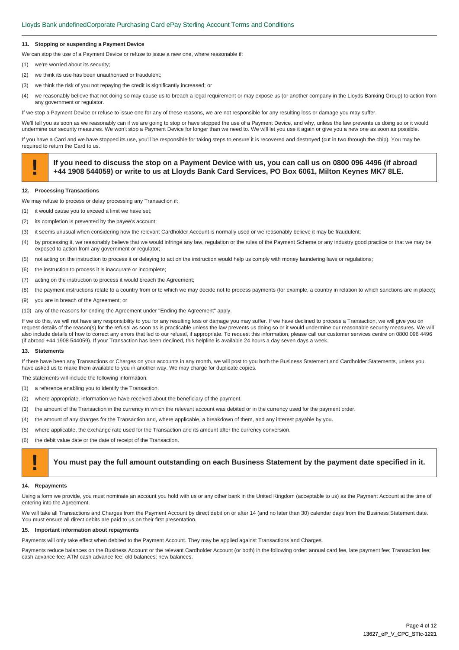# **11. Stopping or suspending a Payment Device**

We can stop the use of a Payment Device or refuse to issue a new one, where reasonable if:

- (1) we're worried about its security;
- (2) we think its use has been unauthorised or fraudulent;
- (3) we think the risk of you not repaying the credit is significantly increased; or
- (4) we reasonably believe that not doing so may cause us to breach a legal requirement or may expose us (or another company in the Lloyds Banking Group) to action from any government or regulator.

If we stop a Payment Device or refuse to issue one for any of these reasons, we are not responsible for any resulting loss or damage you may suffer.

We'll tell you as soon as we reasonably can if we are going to stop or have stopped the use of a Payment Device, and why, unless the law prevents us doing so or it would undermine our security measures. We won't stop a Payment Device for longer than we need to. We will let you use it again or give you a new one as soon as possible.

If you have a Card and we have stopped its use, you'll be responsible for taking steps to ensure it is recovered and destroyed (cut in two through the chip). You may be required to return the Card to us.

# If you need to discuss the stop on a Payment Device with us, you can call us on 0800 096 4496 (if abroad +44 1908 544059) or write to us at Lloyds Bank Card Services, PO Box 6061, Milton Keynes MK7 8LE.

# **12. Processing Transactions**

We may refuse to process or delay processing any Transaction if:

- (1) it would cause you to exceed a limit we have set;
- (2) its completion is prevented by the payee's account;
- (3) it seems unusual when considering how the relevant Cardholder Account is normally used or we reasonably believe it may be fraudulent;
- (4) by processing it, we reasonably believe that we would infringe any law, regulation or the rules of the Payment Scheme or any industry good practice or that we may be exposed to action from any government or regulator;
- (5) not acting on the instruction to process it or delaying to act on the instruction would help us comply with money laundering laws or regulations;
- (6) the instruction to process it is inaccurate or incomplete;
- (7) acting on the instruction to process it would breach the Agreement;
- (8) the payment instructions relate to a country from or to which we may decide not to process payments (for example, a country in relation to which sanctions are in place);
- (9) you are in breach of the Agreement; or
- (10) any of the reasons for ending the Agreement under "Ending the Agreement" apply.

If we do this, we will not have any responsibility to you for any resulting loss or damage you may suffer. If we have declined to process a Transaction, we will give you on request details of the reason(s) for the refusal as soon as is practicable unless the law prevents us doing so or it would undermine our reasonable security measures. We will also include details of how to correct any errors that led to our refusal, if appropriate. To request this information, please call our customer services centre on 0800 096 4496 (if abroad +44 1908 544059). If your Transaction has been declined, this helpline is available 24 hours a day seven days a week.

#### **13. Statements**

If there have been any Transactions or Charges on your accounts in any month, we will post to you both the Business Statement and Cardholder Statements, unless you have asked us to make them available to you in another way. We may charge for duplicate copies.

The statements will include the following information:

- (1) a reference enabling you to identify the Transaction.
- (2) where appropriate, information we have received about the beneficiary of the payment.
- (3) the amount of the Transaction in the currency in which the relevant account was debited or in the currency used for the payment order.
- (4) the amount of any charges for the Transaction and, where applicable, a breakdown of them, and any interest payable by you.
- (5) where applicable, the exchange rate used for the Transaction and its amount after the currency conversion.
- (6) the debit value date or the date of receipt of the Transaction.

# **! You must pay the full amount outstanding on each Business Statement by the payment date specified in it.**

## **14. Repayments**

Using a form we provide, you must nominate an account you hold with us or any other bank in the United Kingdom (acceptable to us) as the Payment Account at the time of entering into the Agreement.

We will take all Transactions and Charges from the Payment Account by direct debit on or after 14 (and no later than 30) calendar days from the Business Statement date. You must ensure all direct debits are paid to us on their first presentation.

# **15. Important information about repayments**

Payments will only take effect when debited to the Payment Account. They may be applied against Transactions and Charges.

Payments reduce balances on the Business Account or the relevant Cardholder Account (or both) in the following order: annual card fee, late payment fee; Transaction fee; cash advance fee; ATM cash advance fee; old balances; new balances.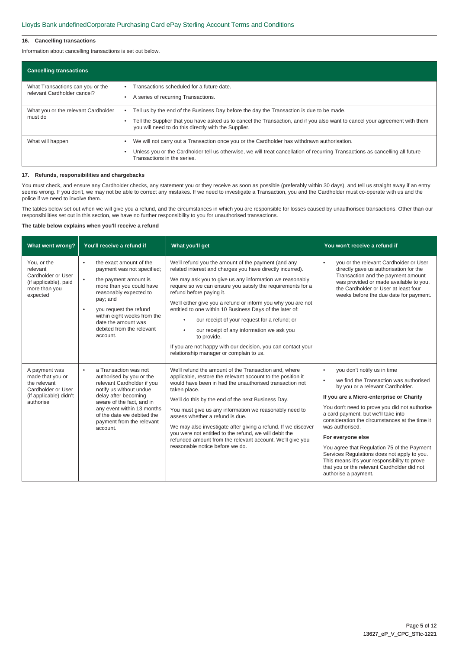# **16. Cancelling transactions**

Information about cancelling transactions is set out below.

| <b>Cancelling transactions</b>                                  |                                                                                                                                                                                                                                                                                 |
|-----------------------------------------------------------------|---------------------------------------------------------------------------------------------------------------------------------------------------------------------------------------------------------------------------------------------------------------------------------|
| What Transactions can you or the<br>relevant Cardholder cancel? | Transactions scheduled for a future date.<br>A series of recurring Transactions.                                                                                                                                                                                                |
| What you or the relevant Cardholder<br>must do                  | Tell us by the end of the Business Day before the day the Transaction is due to be made.<br>Tell the Supplier that you have asked us to cancel the Transaction, and if you also want to cancel your agreement with them<br>you will need to do this directly with the Supplier. |
| What will happen                                                | We will not carry out a Transaction once you or the Cardholder has withdrawn authorisation.<br>Unless you or the Cardholder tell us otherwise, we will treat cancellation of recurring Transactions as cancelling all future<br>Transactions in the series.                     |

# **17. Refunds, responsibilities and chargebacks**

You must check, and ensure any Cardholder checks, any statement you or they receive as soon as possible (preferably within 30 days), and tell us straight away if an entry seems wrong. If you don't, we may not be able to correct any mistakes. If we need to investigate a Transaction, you and the Cardholder must co-operate with us and the police if we need to involve them.

The tables below set out when we will give you a refund, and the circumstances in which you are responsible for losses caused by unauthorised transactions. Other than our responsibilities set out in this section, we have no further responsibility to you for unauthorised transactions.

# **The table below explains when you'll receive a refund**

| What went wrong?                                                                                               | You'll receive a refund if                                                                                                                                                                                                                                                                               | What you'll get                                                                                                                                                                                                                                                                                                                                                                                                                                                                                                                                                                                                                                     | You won't receive a refund if                                                                                                                                                                                                                                                                                                                                                                                                                                                                                                                                                  |
|----------------------------------------------------------------------------------------------------------------|----------------------------------------------------------------------------------------------------------------------------------------------------------------------------------------------------------------------------------------------------------------------------------------------------------|-----------------------------------------------------------------------------------------------------------------------------------------------------------------------------------------------------------------------------------------------------------------------------------------------------------------------------------------------------------------------------------------------------------------------------------------------------------------------------------------------------------------------------------------------------------------------------------------------------------------------------------------------------|--------------------------------------------------------------------------------------------------------------------------------------------------------------------------------------------------------------------------------------------------------------------------------------------------------------------------------------------------------------------------------------------------------------------------------------------------------------------------------------------------------------------------------------------------------------------------------|
| You, or the<br>relevant<br>Cardholder or User<br>(if applicable), paid<br>more than you<br>expected            | the exact amount of the<br>٠<br>payment was not specified;<br>the payment amount is<br>$\bullet$<br>more than you could have<br>reasonably expected to<br>pay; and<br>you request the refund<br>$\bullet$<br>within eight weeks from the<br>date the amount was<br>debited from the relevant<br>account. | We'll refund you the amount of the payment (and any<br>related interest and charges you have directly incurred).<br>We may ask you to give us any information we reasonably<br>require so we can ensure you satisfy the requirements for a<br>refund before paying it.<br>We'll either give you a refund or inform you why you are not<br>entitled to one within 10 Business Days of the later of:<br>our receipt of your request for a refund; or<br>$\bullet$<br>our receipt of any information we ask you<br>$\bullet$<br>to provide.<br>If you are not happy with our decision, you can contact your<br>relationship manager or complain to us. | you or the relevant Cardholder or User<br>$\bullet$<br>directly gave us authorisation for the<br>Transaction and the payment amount<br>was provided or made available to you,<br>the Cardholder or User at least four<br>weeks before the due date for payment.                                                                                                                                                                                                                                                                                                                |
| A payment was<br>made that you or<br>the relevant<br>Cardholder or User<br>(if applicable) didn't<br>authorise | a Transaction was not<br>$\bullet$<br>authorised by you or the<br>relevant Cardholder if you<br>notify us without undue<br>delay after becoming<br>aware of the fact, and in<br>any event within 13 months<br>of the date we debited the<br>payment from the relevant<br>account.                        | We'll refund the amount of the Transaction and, where<br>applicable, restore the relevant account to the position it<br>would have been in had the unauthorised transaction not<br>taken place.<br>We'll do this by the end of the next Business Day.<br>You must give us any information we reasonably need to<br>assess whether a refund is due.<br>We may also investigate after giving a refund. If we discover<br>you were not entitled to the refund, we will debit the<br>refunded amount from the relevant account. We'll give you<br>reasonable notice before we do.                                                                       | you don't notify us in time<br>$\bullet$<br>we find the Transaction was authorised<br>٠<br>by you or a relevant Cardholder.<br>If you are a Micro-enterprise or Charity<br>You don't need to prove you did not authorise<br>a card payment, but we'll take into<br>consideration the circumstances at the time it<br>was authorised.<br>For everyone else<br>You agree that Regulation 75 of the Payment<br>Services Regulations does not apply to you.<br>This means it's your responsibility to prove<br>that you or the relevant Cardholder did not<br>authorise a payment. |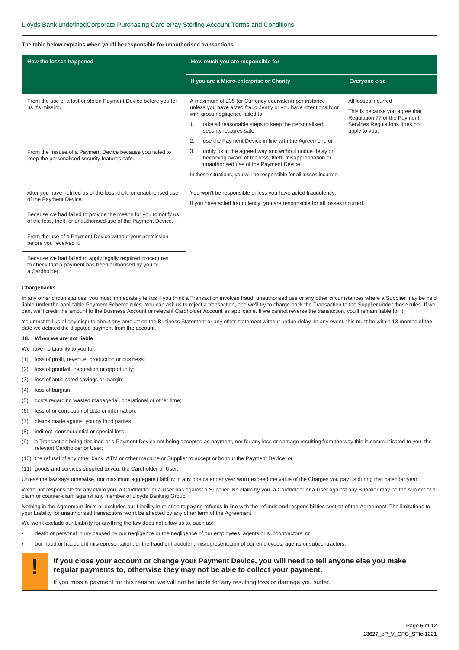# **The table below explains when you'll be responsible for unauthorised transactions**

| How the losses happened                                                                                                              | How much you are responsible for                                                                                                                                                                                                                                                                                                |                                                                                                                                         |
|--------------------------------------------------------------------------------------------------------------------------------------|---------------------------------------------------------------------------------------------------------------------------------------------------------------------------------------------------------------------------------------------------------------------------------------------------------------------------------|-----------------------------------------------------------------------------------------------------------------------------------------|
|                                                                                                                                      | If you are a Micro-enterprise or Charity                                                                                                                                                                                                                                                                                        | <b>Everyone else</b>                                                                                                                    |
| From the use of a lost or stolen Payment Device before you tell<br>us it's missing.                                                  | A maximum of £35 (or Currency equivalent) per instance<br>unless you have acted fraudulently or you have intentionally or<br>with gross negligence failed to:<br>take all reasonable steps to keep the personalised<br>$\mathbf{1}$ .<br>security features safe;<br>use the Payment Device in line with the Agreement; or<br>2. | All losses incurred<br>This is because you agree that<br>Regulation 77 of the Payment<br>Services Regulations does not<br>apply to you. |
| From the misuse of a Payment Device because you failed to<br>keep the personalised security features safe.                           | notify us in the agreed way and without undue delay on<br>3.<br>becoming aware of the loss, theft, misappropriation or<br>unauthorised use of the Payment Device.<br>In these situations, you will be responsible for all losses incurred.                                                                                      |                                                                                                                                         |
| After you have notified us of the loss, theft, or unauthorised use<br>of the Payment Device.                                         | You won't be responsible unless you have acted fraudulently.<br>If you have acted fraudulently, you are responsible for all losses incurred.                                                                                                                                                                                    |                                                                                                                                         |
| Because we had failed to provide the means for you to notify us<br>of the loss, theft, or unauthorised use of the Payment Device.    |                                                                                                                                                                                                                                                                                                                                 |                                                                                                                                         |
| From the use of a Payment Device without your permission<br>before you received it.                                                  |                                                                                                                                                                                                                                                                                                                                 |                                                                                                                                         |
| Because we had failed to apply legally required procedures<br>to check that a payment has been authorised by you or<br>a Cardholder. |                                                                                                                                                                                                                                                                                                                                 |                                                                                                                                         |

# **Chargebacks**

In any other circumstances, you must immediately tell us if you think a Transaction involves fraud, unauthorised use or any other circumstances where a Supplier may be held liable under the applicable Payment Scheme rules. You can ask us to reject a transaction, and we'll try to charge back the Transaction to the Supplier under those rules. If we can, we'll credit the amount to the Business Account or relevant Cardholder Account as applicable. If we cannot reverse the transaction, you'll remain liable for it.

You must tell us of any dispute about any amount on the Business Statement or any other statement without undue delay. In any event, this must be within 13 months of the date we debited the disputed payment from the account.

# **18. When we are not liable**

We have no Liability to you for:

- (1) loss of profit, revenue, production or business;
- (2) loss of goodwill, reputation or opportunity;
- (3) loss of anticipated savings or margin;
- (4) loss of bargain;
- (5) costs regarding wasted managerial, operational or other time;
- (6) loss of or corruption of data or information;
- (7) claims made against you by third parties;
- (8) indirect, consequential or special loss;
- (9) a Transaction being declined or a Payment Device not being accepted as payment, nor for any loss or damage resulting from the way this is communicated to you, the relevant Cardholder or User;
- (10) the refusal of any other bank, ATM or other machine or Supplier to accept or honour the Payment Device; or
- (11) goods and services supplied to you, the Cardholder or User.

Unless the law says otherwise, our maximum aggregate Liability in any one calendar year won't exceed the value of the Charges you pay us during that calendar year.

We're not responsible for any claim you, a Cardholder or a User has against a Supplier. No claim by you, a Cardholder or a User against any Supplier may be the subject of a claim or counter-claim against any member of Lloyds Banking Group.

Nothing in the Agreement limits or excludes our Liability in relation to paying refunds in line with the refunds and responsibilities section of the Agreement. The limitations to your Liability for unauthorised transactions won't be affected by any other term of the Agreement.

We won't exclude our Liability for anything the law does not allow us to, such as:

- death or personal injury caused by our negligence or the negligence of our employees, agents or subcontractors; or
- our fraud or fraudulent misrepresentation, or the fraud or fraudulent misrepresentation of our employees, agents or subcontractors.



# **If you close your account or change your Payment Device, you will need to tell anyone else you make <br>
<b>If you close your account or change your Payment Device, you will need to tell anyone else you make regular payments to, otherwise they may not be able to collect your payment.**

If you miss a payment for this reason, we will not be liable for any resulting loss or damage you suffer.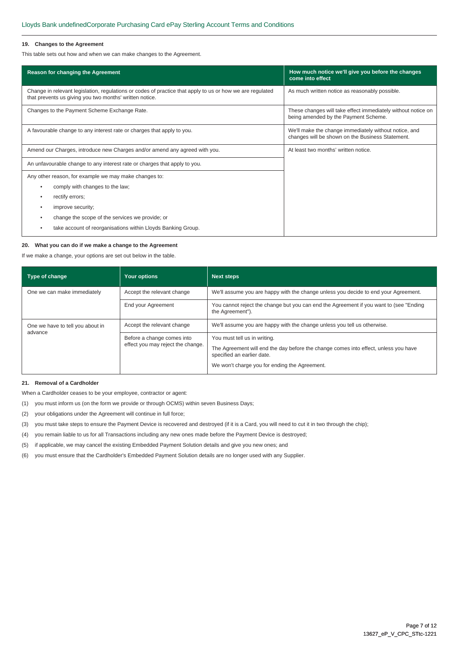# **19. Changes to the Agreement**

This table sets out how and when we can make changes to the Agreement.

| Reason for changing the Agreement                                                                                                                                    | How much notice we'll give you before the changes<br>come into effect                                     |  |
|----------------------------------------------------------------------------------------------------------------------------------------------------------------------|-----------------------------------------------------------------------------------------------------------|--|
| Change in relevant legislation, regulations or codes of practice that apply to us or how we are regulated<br>that prevents us giving you two months' written notice. | As much written notice as reasonably possible.                                                            |  |
| Changes to the Payment Scheme Exchange Rate.                                                                                                                         | These changes will take effect immediately without notice on<br>being amended by the Payment Scheme.      |  |
| A favourable change to any interest rate or charges that apply to you.                                                                                               | We'll make the change immediately without notice, and<br>changes will be shown on the Business Statement. |  |
| Amend our Charges, introduce new Charges and/or amend any agreed with you.                                                                                           | At least two months' written notice.                                                                      |  |
| An unfavourable change to any interest rate or charges that apply to you.                                                                                            |                                                                                                           |  |
| Any other reason, for example we may make changes to:                                                                                                                |                                                                                                           |  |
| comply with changes to the law;<br>٠                                                                                                                                 |                                                                                                           |  |
| rectify errors;<br>٠                                                                                                                                                 |                                                                                                           |  |
| improve security;<br>٠                                                                                                                                               |                                                                                                           |  |
| change the scope of the services we provide; or                                                                                                                      |                                                                                                           |  |
| take account of reorganisations within Lloyds Banking Group.                                                                                                         |                                                                                                           |  |

# **20. What you can do if we make a change to the Agreement**

If we make a change, your options are set out below in the table.

| Type of change                   | Your options                                                    | <b>Next steps</b>                                                                                                                                                                                  |  |
|----------------------------------|-----------------------------------------------------------------|----------------------------------------------------------------------------------------------------------------------------------------------------------------------------------------------------|--|
| One we can make immediately      | Accept the relevant change                                      | We'll assume you are happy with the change unless you decide to end your Agreement.                                                                                                                |  |
|                                  | End your Agreement                                              | You cannot reject the change but you can end the Agreement if you want to (see "Ending"<br>the Agreement").                                                                                        |  |
| One we have to tell you about in | Accept the relevant change                                      | We'll assume you are happy with the change unless you tell us otherwise.                                                                                                                           |  |
| advance                          | Before a change comes into<br>effect you may reject the change. | You must tell us in writing.<br>The Agreement will end the day before the change comes into effect, unless you have<br>specified an earlier date.<br>We won't charge you for ending the Agreement. |  |

# **21. Removal of a Cardholder**

When a Cardholder ceases to be your employee, contractor or agent:

- (1) you must inform us (on the form we provide or through OCMS) within seven Business Days;
- (2) your obligations under the Agreement will continue in full force;
- (3) you must take steps to ensure the Payment Device is recovered and destroyed (if it is a Card, you will need to cut it in two through the chip);
- (4) you remain liable to us for all Transactions including any new ones made before the Payment Device is destroyed;
- (5) if applicable, we may cancel the existing Embedded Payment Solution details and give you new ones; and
- (6) you must ensure that the Cardholder's Embedded Payment Solution details are no longer used with any Supplier.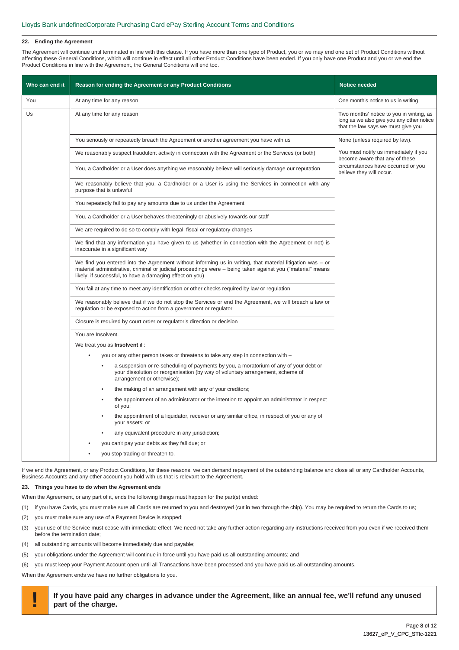# **22. Ending the Agreement**

The Agreement will continue until terminated in line with this clause. If you have more than one type of Product, you or we may end one set of Product Conditions without affecting these General Conditions, which will continue in effect until all other Product Conditions have been ended. If you only have one Product and you or we end the Product Conditions in line with the Agreement, the General Conditions will end too.

| Who can end it | Reason for ending the Agreement or any Product Conditions                                                                                                                                                                                                                             | <b>Notice needed</b>                                                                                                        |
|----------------|---------------------------------------------------------------------------------------------------------------------------------------------------------------------------------------------------------------------------------------------------------------------------------------|-----------------------------------------------------------------------------------------------------------------------------|
| You            | At any time for any reason                                                                                                                                                                                                                                                            | One month's notice to us in writing                                                                                         |
| Us             | At any time for any reason                                                                                                                                                                                                                                                            | Two months' notice to you in writing, as<br>long as we also give you any other notice<br>that the law says we must give you |
|                | You seriously or repeatedly breach the Agreement or another agreement you have with us                                                                                                                                                                                                | None (unless required by law).                                                                                              |
|                | We reasonably suspect fraudulent activity in connection with the Agreement or the Services (or both)                                                                                                                                                                                  | You must notify us immediately if you<br>become aware that any of these                                                     |
|                | You, a Cardholder or a User does anything we reasonably believe will seriously damage our reputation                                                                                                                                                                                  | circumstances have occurred or you<br>believe they will occur.                                                              |
|                | We reasonably believe that you, a Cardholder or a User is using the Services in connection with any<br>purpose that is unlawful                                                                                                                                                       |                                                                                                                             |
|                | You repeatedly fail to pay any amounts due to us under the Agreement                                                                                                                                                                                                                  |                                                                                                                             |
|                | You, a Cardholder or a User behaves threateningly or abusively towards our staff                                                                                                                                                                                                      |                                                                                                                             |
|                | We are required to do so to comply with legal, fiscal or regulatory changes                                                                                                                                                                                                           |                                                                                                                             |
|                | We find that any information you have given to us (whether in connection with the Agreement or not) is<br>inaccurate in a significant way                                                                                                                                             |                                                                                                                             |
|                | We find you entered into the Agreement without informing us in writing, that material litigation was $-$ or<br>material administrative, criminal or judicial proceedings were – being taken against you ("material" means<br>likely, if successful, to have a damaging effect on you) |                                                                                                                             |
|                | You fail at any time to meet any identification or other checks required by law or regulation                                                                                                                                                                                         |                                                                                                                             |
|                | We reasonably believe that if we do not stop the Services or end the Agreement, we will breach a law or<br>regulation or be exposed to action from a government or regulator                                                                                                          |                                                                                                                             |
|                | Closure is required by court order or regulator's direction or decision                                                                                                                                                                                                               |                                                                                                                             |
|                | You are Insolvent.                                                                                                                                                                                                                                                                    |                                                                                                                             |
|                | We treat you as <b>Insolvent</b> if :                                                                                                                                                                                                                                                 |                                                                                                                             |
|                | you or any other person takes or threatens to take any step in connection with –                                                                                                                                                                                                      |                                                                                                                             |
|                | a suspension or re-scheduling of payments by you, a moratorium of any of your debt or<br>your dissolution or reorganisation (by way of voluntary arrangement, scheme of<br>arrangement or otherwise);                                                                                 |                                                                                                                             |
|                | the making of an arrangement with any of your creditors;                                                                                                                                                                                                                              |                                                                                                                             |
|                | the appointment of an administrator or the intention to appoint an administrator in respect<br>of you;                                                                                                                                                                                |                                                                                                                             |
|                | the appointment of a liquidator, receiver or any similar office, in respect of you or any of<br>your assets; or                                                                                                                                                                       |                                                                                                                             |
|                | any equivalent procedure in any jurisdiction;                                                                                                                                                                                                                                         |                                                                                                                             |
|                | you can't pay your debts as they fall due; or                                                                                                                                                                                                                                         |                                                                                                                             |
|                | you stop trading or threaten to.                                                                                                                                                                                                                                                      |                                                                                                                             |

If we end the Agreement, or any Product Conditions, for these reasons, we can demand repayment of the outstanding balance and close all or any Cardholder Accounts, Business Accounts and any other account you hold with us that is relevant to the Agreement.

# **23. Things you have to do when the Agreement ends**

When the Agreement, or any part of it, ends the following things must happen for the part(s) ended:

- (1) if you have Cards, you must make sure all Cards are returned to you and destroyed (cut in two through the chip). You may be required to return the Cards to us;
- (2) you must make sure any use of a Payment Device is stopped;
- (3) your use of the Service must cease with immediate effect. We need not take any further action regarding any instructions received from you even if we received them before the termination date;
- (4) all outstanding amounts will become immediately due and payable;
- (5) your obligations under the Agreement will continue in force until you have paid us all outstanding amounts; and
- (6) you must keep your Payment Account open until all Transactions have been processed and you have paid us all outstanding amounts.

When the Agreement ends we have no further obligations to you.

**! If you have paid any charges in advance under the Agreement, like an annual fee, we'll refund any unused part of the charge.**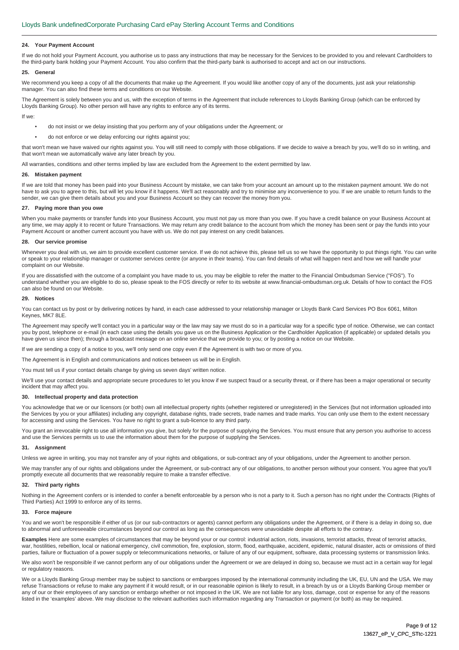# **24. Your Payment Account**

If we do not hold your Payment Account, you authorise us to pass any instructions that may be necessary for the Services to be provided to you and relevant Cardholders to the third-party bank holding your Payment Account. You also confirm that the third-party bank is authorised to accept and act on our instructions.

# **25. General**

We recommend you keep a copy of all the documents that make up the Agreement. If you would like another copy of any of the documents, just ask your relationship manager. You can also find these terms and conditions on our Website.

The Agreement is solely between you and us, with the exception of terms in the Agreement that include references to Lloyds Banking Group (which can be enforced by Lloyds Banking Group). No other person will have any rights to enforce any of its terms.

If we:

- do not insist or we delay insisting that you perform any of your obligations under the Agreement; or
- do not enforce or we delay enforcing our rights against you;

that won't mean we have waived our rights against you. You will still need to comply with those obligations. If we decide to waive a breach by you, we'll do so in writing, and that won't mean we automatically waive any later breach by you.

All warranties, conditions and other terms implied by law are excluded from the Agreement to the extent permitted by law.

# **26. Mistaken payment**

If we are told that money has been paid into your Business Account by mistake, we can take from your account an amount up to the mistaken payment amount. We do not have to ask you to agree to this, but will let you know if it happens. We'll act reasonably and try to minimise any inconvenience to you. If we are unable to return funds to the sender, we can give them details about you and your Business Account so they can recover the money from you.

# **27. Paying more than you owe**

When you make payments or transfer funds into your Business Account, you must not pay us more than you owe. If you have a credit balance on your Business Account at any time, we may apply it to recent or future Transactions. We may return any credit balance to the account from which the money has been sent or pay the funds into your Payment Account or another current account you have with us. We do not pay interest on any credit balances.

# **28. Our service promise**

Whenever vou deal with us, we aim to provide excellent customer service. If we do not achieve this, please tell us so we have the opportunity to put things right. You can write or speak to your relationship manager or customer services centre (or anyone in their teams). You can find details of what will happen next and how we will handle your complaint on our Website.

If you are dissatisfied with the outcome of a complaint you have made to us, you may be eligible to refer the matter to the Financial Ombudsman Service ("FOS"). To understand whether you are eligible to do so, please speak to the FOS directly or refer to its website at www.financial-ombudsman.org.uk. Details of how to contact the FOS can also be found on our Website.

# **29. Notices**

You can contact us by post or by delivering notices by hand, in each case addressed to your relationship manager or Lloyds Bank Card Services PO Box 6061, Milton Keynes, MK7 8LE.

The Agreement may specify we'll contact you in a particular way or the law may say we must do so in a particular way for a specific type of notice. Otherwise, we can contact you by post, telephone or e-mail (in each case using the details you gave us on the Business Application or the Cardholder Application (if applicable) or updated details you have given us since then); through a broadcast message on an online service that we provide to you; or by posting a notice on our Website.

If we are sending a copy of a notice to you, we'll only send one copy even if the Agreement is with two or more of you.

The Agreement is in English and communications and notices between us will be in English.

You must tell us if your contact details change by giving us seven days' written notice.

We'll use your contact details and appropriate secure procedures to let you know if we suspect fraud or a security threat, or if there has been a major operational or security incident that may affect you.

#### **30. Intellectual property and data protection**

You acknowledge that we or our licensors (or both) own all intellectual property rights (whether registered or unregistered) in the Services (but not information uploaded into the Services by you or your affiliates) including any copyright, database rights, trade secrets, trade names and trade marks. You can only use them to the extent necessary for accessing and using the Services. You have no right to grant a sub-licence to any third party.

You grant an irrevocable right to use all information you give, but solely for the purpose of supplying the Services. You must ensure that any person you authorise to access and use the Services permits us to use the information about them for the purpose of supplying the Services.

#### **31. Assignment**

Unless we agree in writing, you may not transfer any of your rights and obligations, or sub-contract any of your obligations, under the Agreement to another person.

We may transfer any of our rights and obligations under the Agreement, or sub-contract any of our obligations, to another person without your consent. You agree that you'll promptly execute all documents that we reasonably require to make a transfer effective.

# **32. Third party rights**

Nothing in the Agreement confers or is intended to confer a benefit enforceable by a person who is not a party to it. Such a person has no right under the Contracts (Rights of Third Parties) Act 1999 to enforce any of its terms.

#### **33. Force majeure**

You and we won't be responsible if either of us (or our sub-contractors or agents) cannot perform any obligations under the Agreement, or if there is a delay in doing so, due to abnormal and unforeseeable circumstances beyond our control as long as the consequences were unavoidable despite all efforts to the contrary.

**Examples** Here are some examples of circumstances that may be beyond your or our control: industrial action, riots, invasions, terrorist attacks, threat of terrorist attacks, war, hostilities, rebellion, local or national emergency, civil commotion, fire, explosion, storm, flood, earthquake, accident, epidemic, natural disaster, acts or omissions of third parties, failure or fluctuation of a power supply or telecommunications networks, or failure of any of our equipment, software, data processing systems or transmission links.

We also won't be responsible if we cannot perform any of our obligations under the Agreement or we are delayed in doing so, because we must act in a certain way for legal or regulatory reasons.

We or a Lloyds Banking Group member may be subject to sanctions or embargoes imposed by the international community including the UK, EU, UN and the USA. We may refuse Transactions or refuse to make any payment if it would result, or in our reasonable opinion is likely to result, in a breach by us or a Lloyds Banking Group member or any of our or their employees of any sanction or embargo whether or not imposed in the UK. We are not liable for any loss, damage, cost or expense for any of the reasons listed in the 'examples' above. We may disclose to the relevant authorities such information regarding any Transaction or payment (or both) as may be required.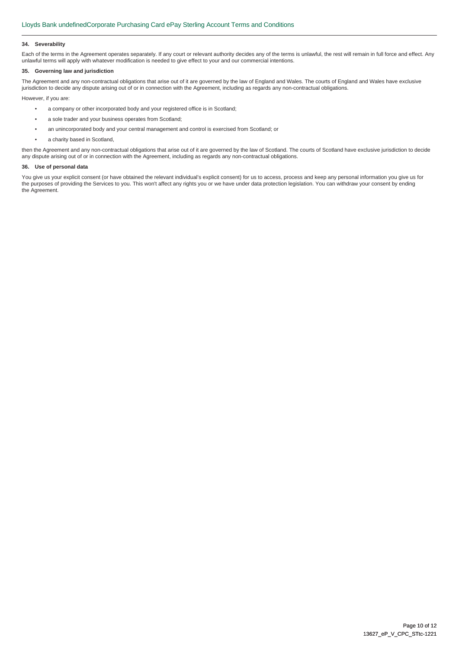# **34. Severability**

Each of the terms in the Agreement operates separately. If any court or relevant authority decides any of the terms is unlawful, the rest will remain in full force and effect. Any unlawful terms will apply with whatever modification is needed to give effect to your and our commercial intentions.

# **35. Governing law and jurisdiction**

The Agreement and any non-contractual obligations that arise out of it are governed by the law of England and Wales. The courts of England and Wales have exclusive jurisdiction to decide any dispute arising out of or in connection with the Agreement, including as regards any non-contractual obligations.

However, if you are:

- a company or other incorporated body and your registered office is in Scotland;
- a sole trader and your business operates from Scotland;
- an unincorporated body and your central management and control is exercised from Scotland; or
- a charity based in Scotland,

then the Agreement and any non-contractual obligations that arise out of it are governed by the law of Scotland. The courts of Scotland have exclusive jurisdiction to decide any dispute arising out of or in connection with the Agreement, including as regards any non-contractual obligations.

# **36. Use of personal data**

You give us your explicit consent (or have obtained the relevant individual's explicit consent) for us to access, process and keep any personal information you give us for the purposes of providing the Services to you. This won't affect any rights you or we have under data protection legislation. You can withdraw your consent by ending the Agreement.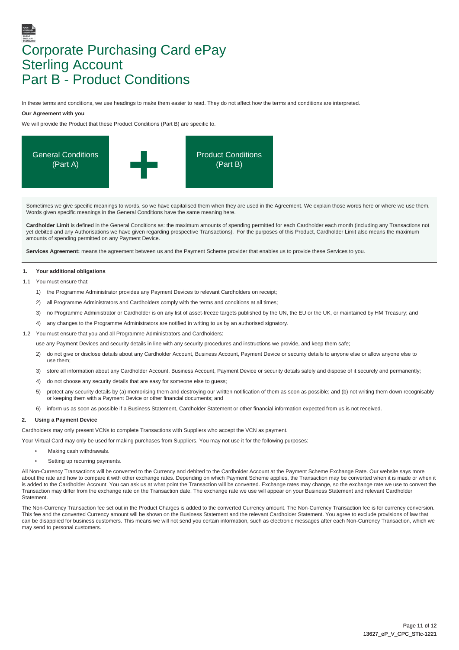# Corporate Purchasing Card ePay Sterling Account Part B - Product Conditions

In these terms and conditions, we use headings to make them easier to read. They do not affect how the terms and conditions are interpreted.

# **Our Agreement with you**

We will provide the Product that these Product Conditions (Part B) are specific to.



Sometimes we give specific meanings to words, so we have capitalised them when they are used in the Agreement. We explain those words here or where we use them. Words given specific meanings in the General Conditions have the same meaning here.

**Cardholder Limit** is defined in the General Conditions as: the maximum amounts of spending permitted for each Cardholder each month (including any Transactions not yet debited and any Authorisations we have given regarding prospective Transactions). For the purposes of this Product, Cardholder Limit also means the maximum amounts of spending permitted on any Payment Device.

Services Agreement: means the agreement between us and the Payment Scheme provider that enables us to provide these Services to you.

# **1. Your additional obligations**

1.1 You must ensure that

- 1) the Programme Administrator provides any Payment Devices to relevant Cardholders on receipt;
- 2) all Programme Administrators and Cardholders comply with the terms and conditions at all times;
- 3) no Programme Administrator or Cardholder is on any list of asset-freeze targets published by the UN, the EU or the UK, or maintained by HM Treasury; and
- 4) any changes to the Programme Administrators are notified in writing to us by an authorised signatory.
- 1.2 You must ensure that you and all Programme Administrators and Cardholders:

use any Payment Devices and security details in line with any security procedures and instructions we provide, and keep them safe;

- 2) do not give or disclose details about any Cardholder Account, Business Account, Payment Device or security details to anyone else or allow anyone else to use them;
- 3) store all information about any Cardholder Account, Business Account, Payment Device or security details safely and dispose of it securely and permanently;
- 4) do not choose any security details that are easy for someone else to guess;
- 5) protect any security details by (a) memorising them and destroying our written notification of them as soon as possible; and (b) not writing them down recognisably or keeping them with a Payment Device or other financial documents; and
- 6) inform us as soon as possible if a Business Statement, Cardholder Statement or other financial information expected from us is not received.

# **2. Using a Payment Device**

Cardholders may only present VCNs to complete Transactions with Suppliers who accept the VCN as payment.

Your Virtual Card may only be used for making purchases from Suppliers. You may not use it for the following purposes:

- Making cash withdrawals.
- Setting up recurring payments.

All Non-Currency Transactions will be converted to the Currency and debited to the Cardholder Account at the Payment Scheme Exchange Rate. Our website says more about the rate and how to compare it with other exchange rates. Depending on which Payment Scheme applies, the Transaction may be converted when it is made or when it is added to the Cardholder Account. You can ask us at what point the Transaction will be converted. Exchange rates may change, so the exchange rate we use to convert the Transaction may differ from the exchange rate on the Transaction date. The exchange rate we use will appear on your Business Statement and relevant Cardholder **Statement** 

The Non-Currency Transaction fee set out in the Product Charges is added to the converted Currency amount. The Non-Currency Transaction fee is for currency conversion. This fee and the converted Currency amount will be shown on the Business Statement and the relevant Cardholder Statement. You agree to exclude provisions of law that can be disapplied for business customers. This means we will not send you certain information, such as electronic messages after each Non-Currency Transaction, which we may send to personal customers.